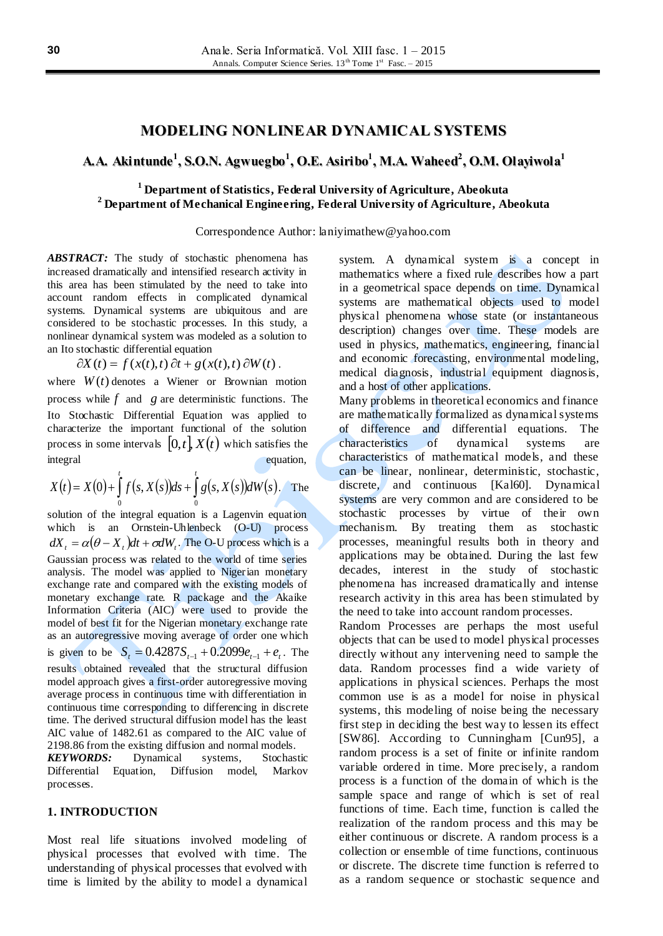# **MODELING NONLINEAR DYNAMICAL SYSTEMS**

# **A.A. Akintunde 1 , S.O.N. Agwuegbo 1 , O.E. Asiribo 1 , M.A. Waheed 2 , O.M. Olayiwola 1**

# **<sup>1</sup> Department of Statistics, Federal University of Agriculture, Abeokuta <sup>2</sup> Department of Mechanical Engineering, Federal University of Agriculture, Abeokuta**

Correspondence Author: laniyimathew@yahoo.com

*ABSTRACT:* The study of stochastic phenomena has increased dramatically and intensified research activity in this area has been stimulated by the need to take into account random effects in complicated dynamical systems. Dynamical systems are ubiquitous and are considered to be stochastic processes. In this study, a nonlinear dynamical system was modeled as a solution to an Ito stochastic differential equation

 $\partial X(t) = f(x(t), t) \partial t + g(x(t), t) \partial W(t)$ .

where  $W(t)$  denotes a Wiener or Brownian motion process while  $f$  and  $g$  are deterministic functions. The Ito Stochastic Differential Equation was applied to characterize the important functional of the solution process in some intervals  $[0,t]$ ,  $X(t)$  which satisfies the integral equation,

$$
X(t) = X(0) + \int_{0}^{t} f(s, X(s))ds + \int_{0}^{t} g(s, X(s))dW(s).
$$
 The

solution of the integral equation is a Lagenvin equation which is an Ornstein-Uhlenbeck (O-U) process  $dX_t = \alpha(\theta - X_t)dt + \sigma dW_t$ . The O-U process which is a Gaussian process was related to the world of time series analysis. The model was applied to Nigerian monetary exchange rate and compared with the existing models of monetary exchange rate. R package and the Akaike Information Criteria (AIC) were used to provide the model of best fit for the Nigerian monetary exchange rate as an autoregressive moving average of order one which is given to be  $S_t = 0.4287 S_{t-1} + 0.2099 e_{t-1} + e_t$ . The results obtained revealed that the structural diffusion model approach gives a first-order autoregressive moving average process in continuous time with differentiation in continuous time corresponding to differencing in discrete time. The derived structural diffusion model has the least AIC value of 1482.61 as compared to the AIC value of 2198.86 from the existing diffusion and normal models. *KEYWORDS:* Dynamical systems, Stochastic Differential Equation, Diffusion model, Markov processes.

#### **1. INTRODUCTION**

Most real life situations involved modeling of physical processes that evolved with time. The understanding of physical processes that evolved with time is limited by the ability to model a dynamical

system. A dynamical system is a concept in mathematics where a fixed rule describes how a part in a geometrical space depends on time. Dynamical systems are mathematical objects used to model physical phenomena whose state (or instantaneous description) changes over time. These models are used in physics, mathematics, engineering, financial and economic forecasting, environmental modeling, medical diagnosis, industrial equipment diagnosis, and a host of other applications.

Many problems in theoretical economics and finance are mathematically formalized as dynamical systems of difference and differential equations. The characteristics of dynamical systems are characteristics of mathematical models, and these can be linear, nonlinear, deterministic, stochastic, discrete, and continuous [Kal60]. Dynamical systems are very common and are considered to be stochastic processes by virtue of their own mechanism. By treating them as stochastic processes, meaningful results both in theory and applications may be obtained. During the last few decades, interest in the study of stochastic phenomena has increased dramatically and intense research activity in this area has been stimulated by the need to take into account random processes.

Random Processes are perhaps the most useful objects that can be used to model physical processes directly without any intervening need to sample the data. Random processes find a wide variety of applications in physical sciences. Perhaps the most common use is as a model for noise in physical systems, this modeling of noise being the necessary first step in deciding the best way to lessen its effect [SW86]. According to Cunningham [Cun95], a random process is a set of finite or infinite random variable ordered in time. More precisely, a random process is a function of the domain of which is the sample space and range of which is set of real functions of time. Each time, function is called the realization of the random process and this may be either continuous or discrete. A random process is a collection or ensemble of time functions, continuous or discrete. The discrete time function is referred to as a random sequence or stochastic sequence and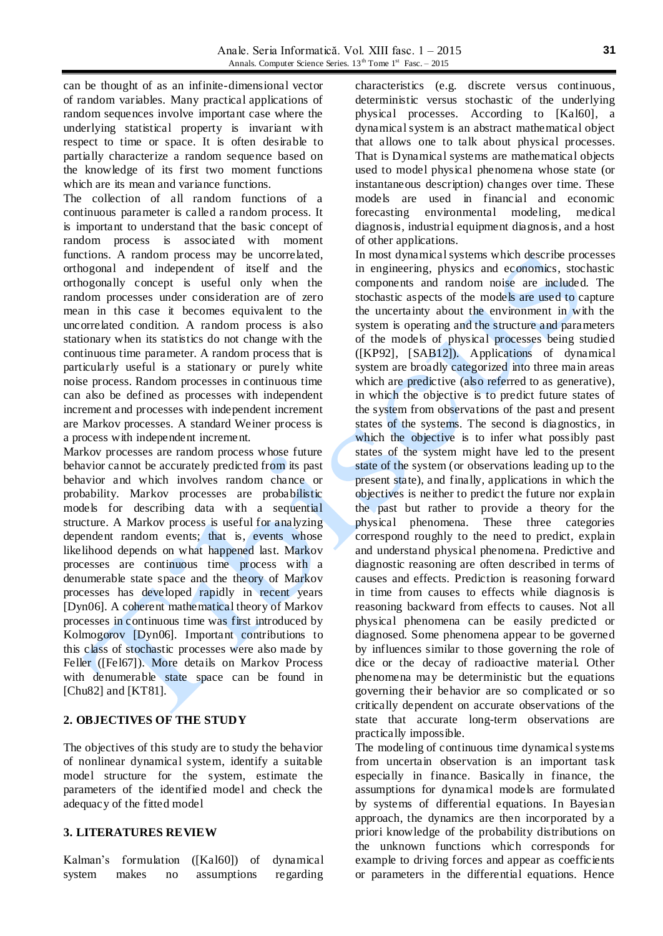can be thought of as an infinite-dimensional vector of random variables. Many practical applications of random sequences involve important case where the underlying statistical property is invariant with respect to time or space. It is often desirable to partially characterize a random sequence based on the knowledge of its first two moment functions which are its mean and variance functions.

The collection of all random functions of a continuous parameter is called a random process. It is important to understand that the basic concept of random process is associated with moment functions. A random process may be uncorrelated, orthogonal and independent of itself and the orthogonally concept is useful only when the random processes under consideration are of zero mean in this case it becomes equivalent to the uncorrelated condition. A random process is also stationary when its statistics do not change with the continuous time parameter. A random process that is particularly useful is a stationary or purely white noise process. Random processes in continuous time can also be defined as processes with independent increment and processes with independent increment are Markov processes. A standard Weiner process is a process with independent increment.

Markov processes are random process whose future behavior cannot be accurately predicted from its past behavior and which involves random chance or probability. Markov processes are probabilistic models for describing data with a sequential structure. A Markov process is useful for analyzing dependent random events; that is, events whose likelihood depends on what happened last. Markov processes are continuous time process with a denumerable state space and the theory of Markov processes has developed rapidly in recent years [Dyn06]. A coherent mathematical theory of Markov processes in continuous time was first introduced by Kolmogorov [Dyn06]. Important contributions to this class of stochastic processes were also made by Feller ([Fel67]). More details on Markov Process with denumerable state space can be found in [Chu82] and [KT81].

# **2. OBJECTIVES OF THE STUDY**

The objectives of this study are to study the behavior of nonlinear dynamical system, identify a suitable model structure for the system, estimate the parameters of the identified model and check the adequacy of the fitted model

# **3. LITERATURES REVIEW**

Kalman's formulation ([Kal60]) of dynamical system makes no assumptions regarding

characteristics (e.g. discrete versus continuous, deterministic versus stochastic of the underlying physical processes. According to [Kal60], a dynamical system is an abstract mathematical object that allows one to talk about physical processes. That is Dynamical systems are mathematical objects used to model physical phenomena whose state (or instantaneous description) changes over time. These models are used in financial and economic forecasting environmental modeling, medical diagnosis, industrial equipment diagnosis, and a host of other applications.

In most dynamical systems which describe processes in engineering, physics and economics, stochastic components and random noise are included. The stochastic aspects of the models are used to capture the uncertainty about the environment in with the system is operating and the structure and parameters of the models of physical processes being studied ([KP92], [SAB12]). Applications of dynamical system are broadly categorized into three main areas which are predictive (also referred to as generative), in which the objective is to predict future states of the system from observations of the past and present states of the systems. The second is diagnostics, in which the objective is to infer what possibly past states of the system might have led to the present state of the system (or observations leading up to the present state), and finally, applications in which the objectives is neither to predict the future nor explain the past but rather to provide a theory for the physical phenomena. These three categories correspond roughly to the need to predict, explain and understand physical phenomena. Predictive and diagnostic reasoning are often described in terms of causes and effects. Prediction is reasoning forward in time from causes to effects while diagnosis is reasoning backward from effects to causes. Not all physical phenomena can be easily predicted or diagnosed. Some phenomena appear to be governed by influences similar to those governing the role of dice or the decay of radioactive material. Other phenomena may be deterministic but the equations governing their behavior are so complicated or so critically dependent on accurate observations of the state that accurate long-term observations are practically impossible.

The modeling of continuous time dynamical systems from uncertain observation is an important task especially in finance. Basically in finance, the assumptions for dynamical models are formulated by systems of differential equations. In Bayesian approach, the dynamics are then incorporated by a priori knowledge of the probability distributions on the unknown functions which corresponds for example to driving forces and appear as coefficients or parameters in the differential equations. Hence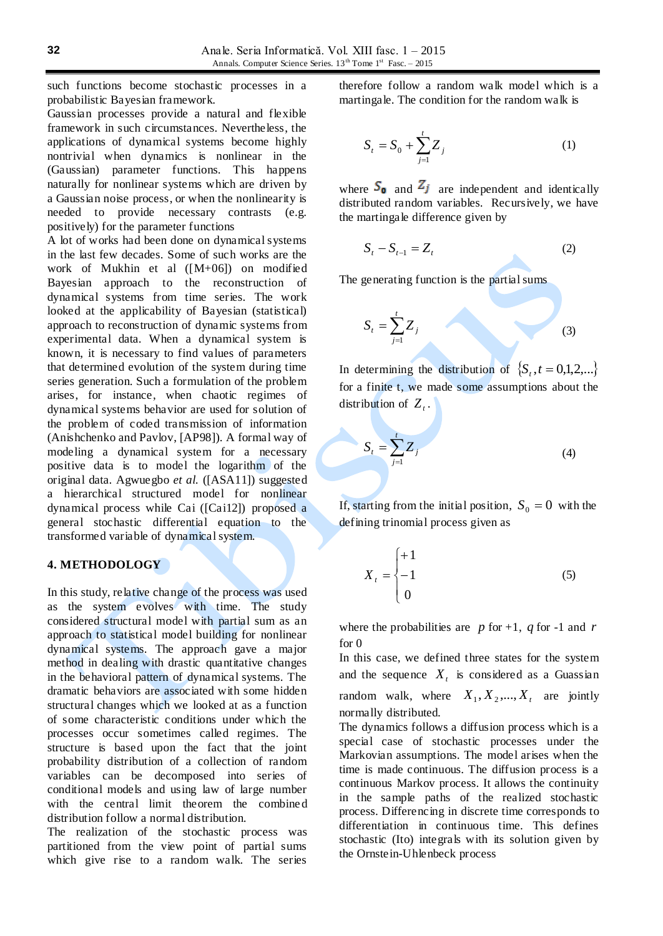such functions become stochastic processes in a probabilistic Bayesian framework.

Gaussian processes provide a natural and flexible framework in such circumstances. Nevertheless, the applications of dynamical systems become highly nontrivial when dynamics is nonlinear in the (Gaussian) parameter functions. This happens naturally for nonlinear systems which are driven by a Gaussian noise process, or when the nonlinearity is needed to provide necessary contrasts (e.g. positively) for the parameter functions

A lot of works had been done on dynamical systems in the last few decades. Some of such works are the work of Mukhin et al ([M+06]) on modified Bayesian approach to the reconstruction of dynamical systems from time series. The work looked at the applicability of Bayesian (statistical) approach to reconstruction of dynamic systems from experimental data. When a dynamical system is known, it is necessary to find values of parameters that determined evolution of the system during time series generation. Such a formulation of the problem arises, for instance, when chaotic regimes of dynamical systems behavior are used for solution of the problem of coded transmission of information (Anishchenko and Pavlov, [AP98]). A formal way of modeling a dynamical system for a necessary positive data is to model the logarithm of the original data. Agwuegbo *et al.* ([ASA11]) suggested a hierarchical structured model for nonlinear dynamical process while Cai ([Cai12]) proposed a general stochastic differential equation to the transformed variable of dynamical system.

### **4. METHODOLOGY**

In this study, relative change of the process was used as the system evolves with time. The study considered structural model with partial sum as an approach to statistical model building for nonlinear dynamical systems. The approach gave a major method in dealing with drastic quantitative changes in the behavioral pattern of dynamical systems. The dramatic behaviors are associated with some hidden structural changes which we looked at as a function of some characteristic conditions under which the processes occur sometimes called regimes. The structure is based upon the fact that the joint probability distribution of a collection of random variables can be decomposed into series of conditional models and using law of large number with the central limit theorem the combined distribution follow a normal distribution.

The realization of the stochastic process was partitioned from the view point of partial sums which give rise to a random walk. The series

therefore follow a random walk model which is a martingale. The condition for the random walk is

$$
S_t = S_0 + \sum_{j=1}^t Z_j \tag{1}
$$

where  $S_0$  and  $Z_j$  are independent and identically distributed random variables. Recursively, we have the martingale difference given by

$$
S_t - S_{t-1} = Z_t \tag{2}
$$

The generating function is the partial sums

$$
S_t = \sum_{j=1}^t Z_j
$$
 (3)

In determining the distribution of  $\{S_t, t = 0,1,2,...\}$ for a finite t, we made some assumptions about the distribution of  $Z_t$ .

$$
S_t = \sum_{j=1}^t Z_j \tag{4}
$$

If, starting from the initial position,  $S_0 = 0$  with the defining trinomial process given as

$$
X_t = \begin{cases} +1 \\ -1 \\ 0 \end{cases} \tag{5}
$$

where the probabilities are  $p$  for  $+1$ ,  $q$  for  $-1$  and  $r$ for 0

In this case, we defined three states for the system and the sequence  $X_t$  is considered as a Guassian random walk, where  $X_1, X_2, ..., X_t$  are jointly normally distributed.

The dynamics follows a diffusion process which is a special case of stochastic processes under the Markovian assumptions. The model arises when the time is made continuous. The diffusion process is a continuous Markov process. It allows the continuity in the sample paths of the realized stochastic process. Differencing in discrete time corresponds to differentiation in continuous time. This defines stochastic (Ito) integrals with its solution given by the Ornstein-Uhlenbeck process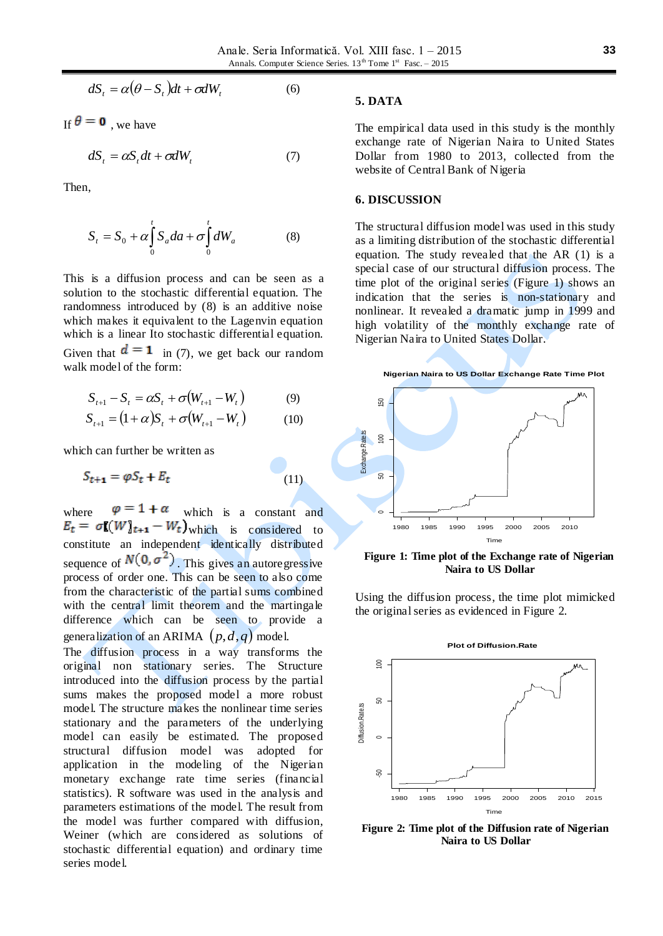$$
dS_t = \alpha(\theta - S_t)dt + \sigma dW_t \tag{6}
$$

If  $\theta = 0$ , we have

$$
dS_t = \alpha S_t dt + \sigma dW_t \tag{7}
$$

Then,

$$
S_t = S_0 + \alpha \int_0^t S_a da + \sigma \int_0^t dW_a \tag{8}
$$

This is a diffusion process and can be seen as a solution to the stochastic differential equation. The randomness introduced by (8) is an additive noise which makes it equivalent to the Lagenvin equation which is a linear Ito stochastic differential equation. Given that  $\mathbf{d} = \mathbf{1}$  in (7), we get back our random walk model of the form:

$$
S_{t+1} - S_t = \alpha S_t + \sigma (W_{t+1} - W_t)
$$
 (9)

$$
S_{t+1} = (1+\alpha)S_t + \sigma(W_{t+1} - W_t)
$$
 (10)

which can further be written as

$$
S_{t+1} = \varphi S_t + E_t \tag{11}
$$

where  $\varphi = 1 + \alpha$  which is a constant and  $E_t = \sigma[(W]_{t+1} - W_t)_{\text{which}}$  is considered to constitute an independent identically distributed sequence of  $N(0, \sigma^2)$ . This gives an autoregressive process of order one. This can be seen to also come from the characteristic of the partial sums combined with the central limit theorem and the martingale difference which can be seen to provide a generalization of an ARIMA  $(p,d,q)$  model.

The diffusion process in a way transforms the original non stationary series. The Structure introduced into the diffusion process by the partial sums makes the proposed model a more robust model. The structure makes the nonlinear time series stationary and the parameters of the underlying model can easily be estimated. The proposed structural diffusion model was adopted for application in the modeling of the Nigerian monetary exchange rate time series (financial statistics). R software was used in the analysis and parameters estimations of the model. The result from the model was further compared with diffusion, Weiner (which are considered as solutions of stochastic differential equation) and ordinary time series model.

#### **5. DATA**

The empirical data used in this study is the monthly exchange rate of Nigerian Naira to United States Dollar from 1980 to 2013, collected from the website of Central Bank of Nigeria

#### **6. DISCUSSION**

The structural diffusion model was used in this study as a limiting distribution of the stochastic differential equation. The study revealed that the AR (1) is a special case of our structural diffusion process. The time plot of the original series (Figure 1) shows an indication that the series is non-stationary and nonlinear. It revealed a dramatic jump in 1999 and high volatility of the monthly exchange rate of Nigerian Naira to United States Dollar.



**Figure 1: Time plot of the Exchange rate of Nigerian Naira to US Dollar**

Using the diffusion process, the time plot mimicked the original series as evidenced in Figure 2.



**Figure 2: Time plot of the Diffusion rate of Nigerian Naira to US Dollar**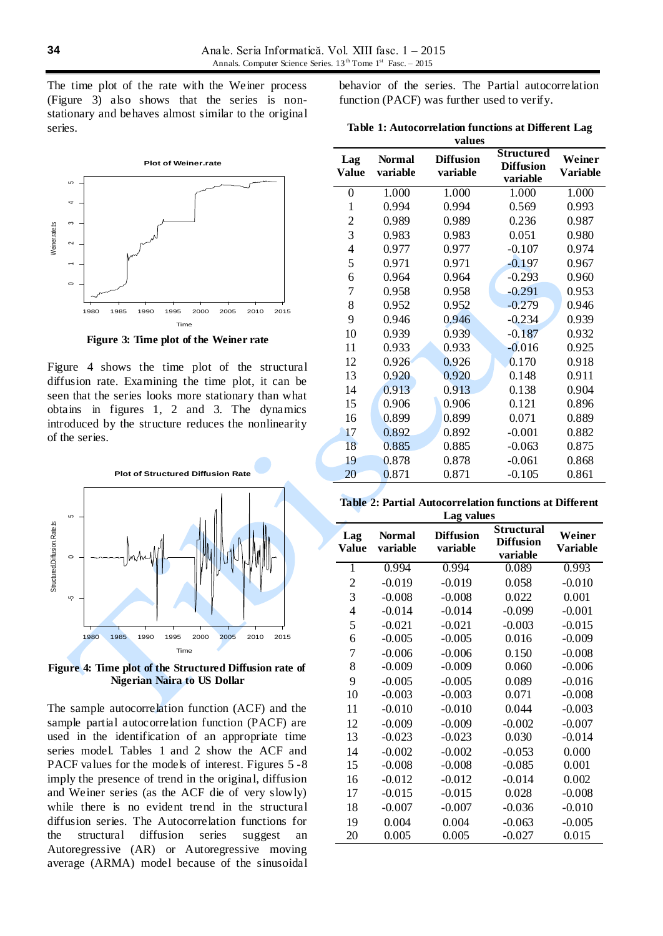The time plot of the rate with the Weiner process (Figure 3) also shows that the series is nonstationary and behaves almost similar to the original series.



**Figure 3: Time plot of the Weiner rate**

Figure 4 shows the time plot of the structural diffusion rate. Examining the time plot, it can be seen that the series looks more stationary than what obtains in figures 1, 2 and 3. The dynamics introduced by the structure reduces the nonlinearity of the series.



**Figure 4: Time plot of the Structured Diffusion rate of Nigerian Naira to US Dollar**

The sample autocorrelation function (ACF) and the sample partial autocorrelation function (PACF) are used in the identification of an appropriate time series model. Tables 1 and 2 show the ACF and PACF values for the models of interest. Figures 5 -8 imply the presence of trend in the original, diffusion and Weiner series (as the ACF die of very slowly) while there is no evident trend in the structural diffusion series. The Autocorrelation functions for the structural diffusion series suggest an Autoregressive (AR) or Autoregressive moving average (ARMA) model because of the sinusoidal

behavior of the series. The Partial autocorrelation function (PACF) was further used to verify.

|  | Table 1: Autocorrelation functions at Different Lag |        |  |  |
|--|-----------------------------------------------------|--------|--|--|
|  |                                                     | values |  |  |

| Lag<br>Value     | <b>Normal</b><br>variable | <b>Diffusion</b><br>variable | Structured<br><b>Diffusion</b><br>variable | Weiner<br><b>Variable</b> |
|------------------|---------------------------|------------------------------|--------------------------------------------|---------------------------|
| $\boldsymbol{0}$ | 1.000                     | 1.000                        | 1.000                                      | 1.000                     |
| $\mathbf{1}$     | 0.994                     | 0.994                        | 0.569                                      | 0.993                     |
| $\overline{2}$   | 0.989                     | 0.989                        | 0.236                                      | 0.987                     |
| 3                | 0.983                     | 0.983                        | 0.051                                      | 0.980                     |
| $\overline{4}$   | 0.977                     | 0.977                        | $-0.107$                                   | 0.974                     |
| 5                | 0.971                     | 0.971                        | $-0.197$                                   | 0.967                     |
| 6                | 0.964                     | 0.964                        | $-0.293$                                   | 0.960                     |
| 7                | 0.958                     | 0.958                        | $-0.291$                                   | 0.953                     |
| 8                | 0.952                     | 0.952                        | $-0.279$                                   | 0.946                     |
| 9                | 0.946                     | 0.946                        | $-0.234$                                   | 0.939                     |
| 10               | 0.939                     | 0.939                        | $-0.187$                                   | 0.932                     |
| 11               | 0.933                     | 0.933                        | $-0.016$                                   | 0.925                     |
| 12               | 0.926                     | 0.926                        | 0.170                                      | 0.918                     |
| 13               | 0.920                     | 0.920                        | 0.148                                      | 0.911                     |
| 14               | 0.913                     | 0.913                        | 0.138                                      | 0.904                     |
| 15               | 0.906                     | 0.906                        | 0.121                                      | 0.896                     |
| 16               | 0.899                     | 0.899                        | 0.071                                      | 0.889                     |
| 17               | 0.892                     | 0.892                        | $-0.001$                                   | 0.882                     |
| 18               | 0.885                     | 0.885                        | $-0.063$                                   | 0.875                     |
| 19               | 0.878                     | 0.878                        | $-0.061$                                   | 0.868                     |
| 20               | 0.871                     | 0.871                        | $-0.105$                                   | 0.861                     |

**Table 2: Partial Autocorrelation functions at Different Lag values**

|                          | Lag values                |                              |                                                   |                           |  |  |
|--------------------------|---------------------------|------------------------------|---------------------------------------------------|---------------------------|--|--|
| Lag<br><b>Value</b>      | <b>Normal</b><br>variable | <b>Diffusion</b><br>variable | <b>Structural</b><br><b>Diffusion</b><br>variable | Weiner<br><b>Variable</b> |  |  |
| 1                        | 0.994                     | 0.994                        | 0.089                                             | 0.993                     |  |  |
| $\overline{c}$           | $-0.019$                  | $-0.019$                     | 0.058                                             | $-0.010$                  |  |  |
| 3                        | $-0.008$                  | $-0.008$                     | 0.022                                             | 0.001                     |  |  |
| $\overline{\mathcal{L}}$ | $-0.014$                  | $-0.014$                     | $-0.099$                                          | $-0.001$                  |  |  |
| 5                        | $-0.021$                  | $-0.021$                     | $-0.003$                                          | $-0.015$                  |  |  |
| 6                        | $-0.005$                  | $-0.005$                     | 0.016                                             | $-0.009$                  |  |  |
| 7                        | $-0.006$                  | $-0.006$                     | 0.150                                             | $-0.008$                  |  |  |
| 8                        | $-0.009$                  | $-0.009$                     | 0.060                                             | $-0.006$                  |  |  |
| 9                        | $-0.005$                  | $-0.005$                     | 0.089                                             | $-0.016$                  |  |  |
| 10                       | $-0.003$                  | $-0.003$                     | 0.071                                             | $-0.008$                  |  |  |
| 11                       | $-0.010$                  | $-0.010$                     | 0.044                                             | $-0.003$                  |  |  |
| 12                       | $-0.009$                  | $-0.009$                     | $-0.002$                                          | $-0.007$                  |  |  |
| 13                       | $-0.023$                  | $-0.023$                     | 0.030                                             | $-0.014$                  |  |  |
| 14                       | $-0.002$                  | $-0.002$                     | $-0.053$                                          | 0.000                     |  |  |
| 15                       | $-0.008$                  | $-0.008$                     | $-0.085$                                          | 0.001                     |  |  |
| 16                       | $-0.012$                  | $-0.012$                     | $-0.014$                                          | 0.002                     |  |  |
| 17                       | $-0.015$                  | $-0.015$                     | 0.028                                             | $-0.008$                  |  |  |
| 18                       | $-0.007$                  | $-0.007$                     | $-0.036$                                          | $-0.010$                  |  |  |
| 19                       | 0.004                     | 0.004                        | $-0.063$                                          | $-0.005$                  |  |  |
| 20                       | 0.005                     | 0.005                        | $-0.027$                                          | 0.015                     |  |  |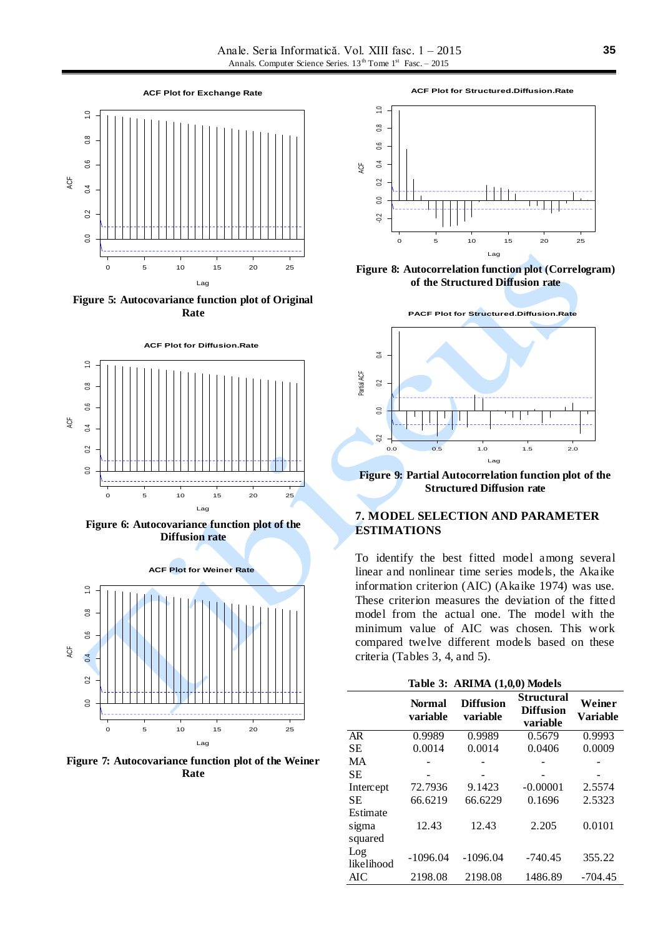

**Figure 5: Autocovariance function plot of Original Rate**



**Figure 6: Autocovariance function plot of the Diffusion rate**



**Figure 7: Autocovariance function plot of the Weiner Rate**

**ACF Plot for Structured.Diffusion.Rate** 



**Figure 8: Autocorrelation function plot (Correlogram) of the Structured Diffusion rate**



**Figure 9: Partial Autocorrelation function plot of the Structured Diffusion rate**

### **7. MODEL SELECTION AND PARAMETER ESTIMATIONS**

To identify the best fitted model among several linear and nonlinear time series models, the Akaike information criterion (AIC) (Akaike 1974) was use. These criterion measures the deviation of the fitted model from the actual one. The model with the minimum value of AIC was chosen. This work compared twelve different models based on these criteria (Tables 3, 4, and 5).

|                              | Table 3: ARIMA (1,0,0) Models |                              |                                                   |                           |
|------------------------------|-------------------------------|------------------------------|---------------------------------------------------|---------------------------|
|                              | Normal<br>variable            | <b>Diffusion</b><br>variable | <b>Structural</b><br><b>Diffusion</b><br>variable | Weiner<br><b>Variable</b> |
| AR                           | 0.9989                        | 0.9989                       | 0.5679                                            | 0.9993                    |
| SЕ                           | 0.0014                        | 0.0014                       | 0.0406                                            | 0.0009                    |
| MA                           |                               |                              |                                                   |                           |
| SЕ                           |                               |                              |                                                   |                           |
| Intercept                    | 72.7936                       | 9.1423                       | $-0.00001$                                        | 2.5574                    |
| SЕ                           | 66.6219                       | 66.6229                      | 0.1696                                            | 2.5323                    |
| Estimate<br>sigma<br>squared | 12.43                         | 12.43                        | 2.205                                             | 0.0101                    |
| Log<br>likelihood            | $-1096.04$                    | $-1096.04$                   | $-740.45$                                         | 355.22                    |
| AIC                          | 2198.08                       | 2198.08                      | 1486.89                                           | $-704.45$                 |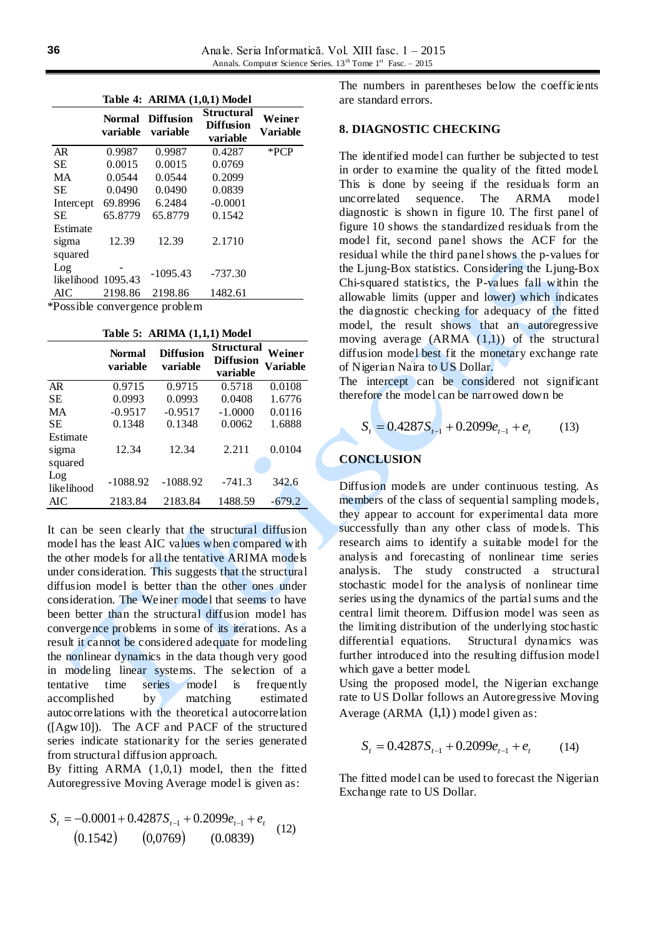|                              | Table 4: ARIMA (1,0,1) Model |                               |                                                   |                    |  |
|------------------------------|------------------------------|-------------------------------|---------------------------------------------------|--------------------|--|
|                              | Normal<br>variable           | <b>Diffusion</b><br>variable  | <b>Structural</b><br><b>Diffusion</b><br>variable | Weiner<br>Variable |  |
| AR.                          | 0.9987                       | 0.9987                        | 0.4287                                            | $*PCP$             |  |
| SЕ                           | 0.0015                       | 0.0015                        | 0.0769                                            |                    |  |
| MA                           | 0.0544                       | 0.0544                        | 0.2099                                            |                    |  |
| <b>SE</b>                    | 0.0490                       | 0.0490                        | 0.0839                                            |                    |  |
| Intercept                    | 69.8996                      | 6.2484                        | $-0.0001$                                         |                    |  |
| <b>SE</b>                    | 65.8779                      | 65.8779                       | 0.1542                                            |                    |  |
| Estimate<br>sigma<br>squared | 12.39                        | 12.39                         | 2.1710                                            |                    |  |
| Log<br>likelihood 1095.43    |                              | $-1095.43$                    | $-737.30$                                         |                    |  |
| AIC                          | 2198.86                      | 2198.86                       | 1482.61                                           |                    |  |
|                              |                              | *Possible convergence problem |                                                   |                    |  |

**Table 5: ARIMA (1,1,1) Model**

|                              | <b>Normal</b><br>variable | <b>Diffusion</b><br>variable | <b>Structural</b><br><b>Diffusion</b><br>variable | Weiner<br>Variable |  |
|------------------------------|---------------------------|------------------------------|---------------------------------------------------|--------------------|--|
| AR                           | 0.9715                    | 0.9715                       | 0.5718                                            | 0.0108             |  |
| SЕ                           | 0.0993                    | 0.0993                       | 0.0408                                            | 1.6776             |  |
| MA                           | $-0.9517$                 | $-0.9517$                    | $-1.0000$                                         | 0.0116             |  |
| SЕ                           | 0.1348                    | 0.1348                       | 0.0062                                            | 1.6888             |  |
| Estimate<br>sigma<br>squared | 12.34                     | 12.34                        | 2.211                                             | 0.0104             |  |
| Log<br>likelihood            | $-1088.92$                | $-1088.92$                   | $-741.3$                                          | 342.6              |  |
| AIC                          | 2183.84                   | 2183.84                      | 1488.59                                           | $-679.2$           |  |

It can be seen clearly that the structural diffusion model has the least AIC values when compared with the other models for all the tentative ARIMA models under consideration. This suggests that the structural diffusion model is better than the other ones under consideration. The Weiner model that seems to have been better than the structural diffusion model has convergence problems in some of its iterations. As a result it cannot be considered adequate for modeling the nonlinear dynamics in the data though very good in modeling linear systems. The selection of a tentative time series model is frequently accomplished by matching estimated autocorrelations with the theoretical autocorrelation ([Agw10]). The ACF and PACF of the structured series indicate stationarity for the series generated from structural diffusion approach.

By fitting ARMA (1,0,1) model, then the fitted Autoregressive Moving Average model is given as:

$$
S_{t} = -0.0001 + 0.4287 S_{t-1} + 0.2099 e_{t-1} + e_{t}
$$
  
(0.1542) (0,0769) (0.0839) (12)

The numbers in parentheses below the coefficients are standard errors.

### **8. DIAGNOSTIC CHECKING**

The identified model can further be subjected to test in order to examine the quality of the fitted model. This is done by seeing if the residuals form an uncorrelated sequence. The ARMA model diagnostic is shown in figure 10. The first panel of figure 10 shows the standardized residuals from the model fit, second panel shows the ACF for the residual while the third panel shows the p-values for the Ljung-Box statistics. Considering the Ljung-Box Chi-squared statistics, the P-values fall within the allowable limits (upper and lower) which indicates the diagnostic checking for adequacy of the fitted model, the result shows that an autoregressive moving average  $(ARMA (1,1))$  of the structural diffusion model best fit the monetary exchange rate of Nigerian Naira to US Dollar.

The intercept can be considered not significant therefore the model can be narrowed down be

$$
S_t = 0.4287 S_{t-1} + 0.2099 e_{t-1} + e_t \tag{13}
$$

### **CONCLUSION**

Diffusion models are under continuous testing. As members of the class of sequential sampling models, they appear to account for experimental data more successfully than any other class of models. This research aims to identify a suitable model for the analysis and forecasting of nonlinear time series analysis. The study constructed a structural stochastic model for the analysis of nonlinear time series using the dynamics of the partial sums and the central limit theorem. Diffusion model was seen as the limiting distribution of the underlying stochastic differential equations. Structural dynamics was further introduced into the resulting diffusion model which gave a better model.

Using the proposed model, the Nigerian exchange rate to US Dollar follows an Autoregressive Moving Average (ARMA  $(1,1)$ ) model given as:

$$
S_t = 0.4287S_{t-1} + 0.2099e_{t-1} + e_t \tag{14}
$$

The fitted model can be used to forecast the Nigerian Exchange rate to US Dollar.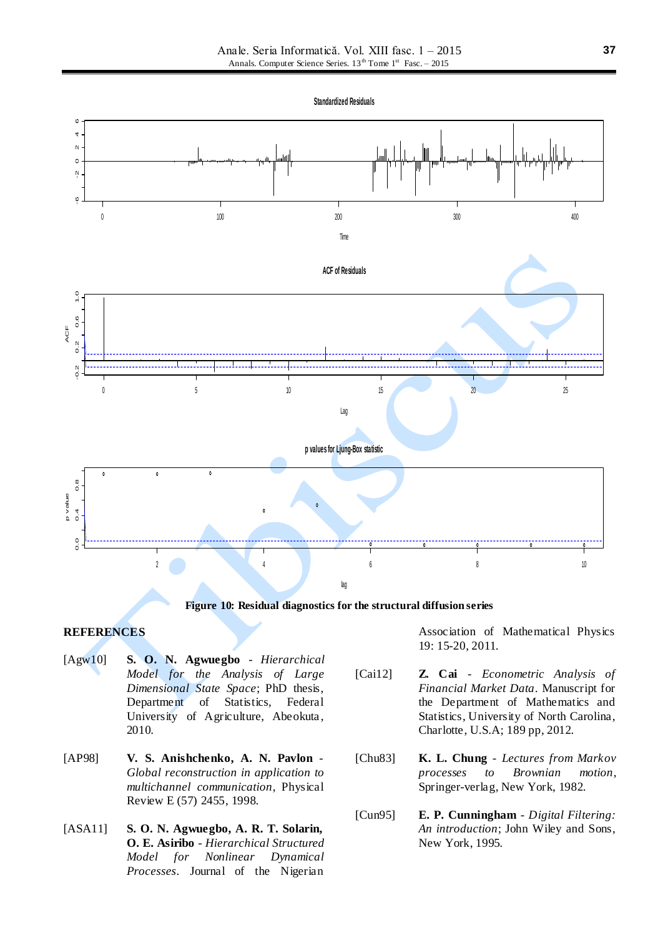**Standardized Residuals**



**Figure 10: Residual diagnostics for the structural diffusion series**

### **REFERENCES**

- [Agw10] **S. O. N. Agwuegbo** *Hierarchical Model for the Analysis of Large Dimensional State Space*; PhD thesis, Department of Statistics, Federal University of Agriculture, Abeokuta, 2010.
- [AP98] **V. S. Anishchenko, A. N. Pavlon**  *Global reconstruction in application to multichannel communication*, Physical Review E (57) 2455, 1998.
- [ASA11] **S. O. N. Agwuegbo, A. R. T. Solarin, O. E. Asiribo** - *Hierarchical Structured Model for Nonlinear Dynamical Processes*. Journal of the Nigerian

Association of Mathematical Physics 19: 15-20, 2011.

- [Cai12] **Z. Cai** *Econometric Analysis of Financial Market Data*. Manuscript for the Department of Mathematics and Statistics, University of North Carolina, Charlotte, U.S.A; 189 pp, 2012.
- [Chu83] **K. L. Chung** *Lectures from Markov processes to Brownian motion*, Springer-verlag, New York, 1982.
- [Cun95] **E. P. Cunningham** *Digital Filtering: An introduction*; John Wiley and Sons, New York, 1995.